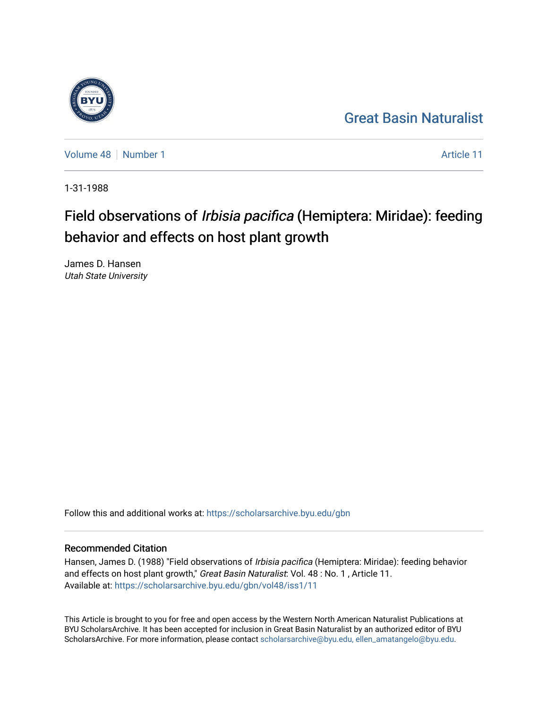## [Great Basin Naturalist](https://scholarsarchive.byu.edu/gbn)

[Volume 48](https://scholarsarchive.byu.edu/gbn/vol48) [Number 1](https://scholarsarchive.byu.edu/gbn/vol48/iss1) [Article 11](https://scholarsarchive.byu.edu/gbn/vol48/iss1/11) Article 11

1-31-1988

# Field observations of Irbisia pacifica (Hemiptera: Miridae): feeding behavior and effects on host plant growth

James D. Hansen Utah State University

Follow this and additional works at: [https://scholarsarchive.byu.edu/gbn](https://scholarsarchive.byu.edu/gbn?utm_source=scholarsarchive.byu.edu%2Fgbn%2Fvol48%2Fiss1%2F11&utm_medium=PDF&utm_campaign=PDFCoverPages) 

### Recommended Citation

Hansen, James D. (1988) "Field observations of Irbisia pacifica (Hemiptera: Miridae): feeding behavior and effects on host plant growth," Great Basin Naturalist: Vol. 48 : No. 1, Article 11. Available at: [https://scholarsarchive.byu.edu/gbn/vol48/iss1/11](https://scholarsarchive.byu.edu/gbn/vol48/iss1/11?utm_source=scholarsarchive.byu.edu%2Fgbn%2Fvol48%2Fiss1%2F11&utm_medium=PDF&utm_campaign=PDFCoverPages) 

This Article is brought to you for free and open access by the Western North American Naturalist Publications at BYU ScholarsArchive. It has been accepted for inclusion in Great Basin Naturalist by an authorized editor of BYU ScholarsArchive. For more information, please contact [scholarsarchive@byu.edu, ellen\\_amatangelo@byu.edu.](mailto:scholarsarchive@byu.edu,%20ellen_amatangelo@byu.edu)

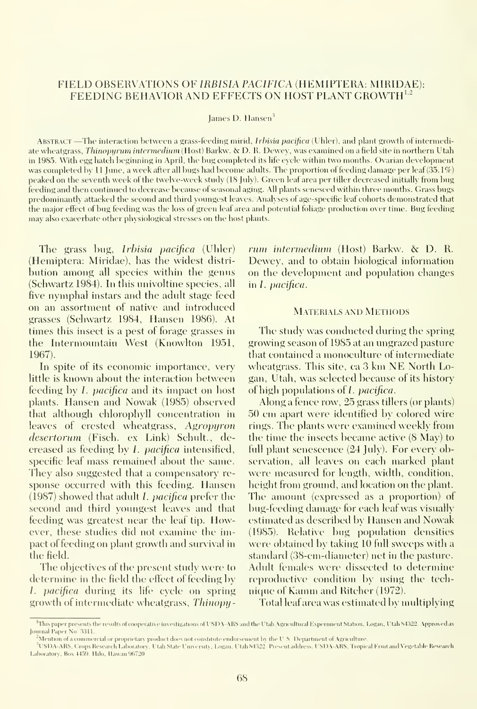#### FIELD OBSERVATIONS OF IRBISIA PACIFICA (HEMIPTERA: MIRIDAE): FEEDING BEHAVIOR AND EFFECTS ON HOST PLANT GROWTH<sup>1,2</sup>

James D. Hansen<sup>3</sup>

ABSTRACT—The interaction between a grass-feeding mirid, Irbisia pacifica (Uhler), and plant growth of intermediate wheatgrass, Thinopyrum intermedium (Host) Barkw. & D. R. Dewey, was examined on a field site in northern Utah in 1985. With egg hatch beginning in April, the bug completed its life eycle within two months. Ovarian development was completed by 11 June, a week after all bugs had become adults. The proportion of feeding damage per leaf (35.1%) peaked on the seventh week of the twelve-week study (18 July). Green leaf area per tiller decreased initially from bug feeding and then continued to decrease because of seasonal aging. All plants senesced within three months. Grass bugs predominantly attacked the second and third youngest leaves. Analyses of age-specific leaf cohorts demonstrated that the major effect of bug feeding was the loss of green leaf area and potential foliage production over time. Bug feeding may also exacerbate other physiological stresses on the host plants.

The grass bug, *Irbisia pacifica* (Uhler) (Hemiptera: Miridae), has the widest distri bution among all species within the genus (Schwartz 1984). In this univoltine species, all five nymphal instars and the adult stage feed on an assortment of native and introduced grasses (Schwartz 1984, Hansen 1986). At times this insect is a pest of forage grasses in the Intermountain West (Knowlton 1951, 1967).

In spite of its economic importance, very little is known about the interaction between feeding by *L* pacifica and its impact on host plants. Hansen and Nowak (1985) observed that although chlorophyll concentration in leaves of crested wheatgrass, Agropyron desertorum (Fisch. ex Link) Schult., decreased as feeding by /. pacifica intensified, specific leaf mass remained about the same. They also suggested that a compensatory re sponse occurred with this feeding. Hansen (1987) showed that adult *I*, *pacifica* prefer the second and third youngest leaves and that feeding was greatest near the leaf tip. However, these studies did not examine the impact of feeding on plant growth and survival in the field.

The objectives of the present study were to determine in the field the effect of feeding by 1. pacifica during its life cycle on spring growth of intermediate wheatgrass, Thinopyrum intermedium (Host) Barkw. & D. R. Dewey, and to obtain biological information on the development and population changes in *I*. pacifica.

#### Materials and Methods

The study was conducted during the spring growing season of 1985 at an ungrazed pasture that contained a monoculture of intermediate wheatgrass. This site, ca <sup>3</sup> km NE North Logan, Utah, was selected because of its history of high populations of  $I$ , *pacifica*.

Along a fence row, 25 grass tillers (or plants) 50 cm apart were identified by colored wire rings. The plants were examined weekly from the time the insects became active  $(8 \text{ May})$  to full plant senescence (24 July). For every observation, all leaves on each marked plant were measured for length, width, condition, height from ground, and location on the plant. The amount (expressed as a proportion) of bug-feeding damage for each leaf was visually estimated as described by Hansen and Nowak (1985). Relatixc bug population densities were obtained by taking 10 full sweeps with a standard (38-cm-diameter) net in the pasture. Adult females were dissected to determine reproductive condition by using the technique of Kamm and Ritcher (1972).

Total leaf area was estimated by multiplying

<sup>&</sup>lt;sup>1</sup>This paper presents the results of cooperative investigations of USDA-ARS and the Utah Agricultural Experiment Station, Logan, Utah 84322. Approved as Journal Paper No. 3311.

<sup>.&</sup>lt;br>"Mention of a commercial or proprietary product does not constitute endorsement by the U.S. Department of Agriculture

<sup>&</sup>lt;sup>3</sup>USDA-ARS, Crops Research Laboratory. Utah State University, Logan. Utah 84322 Present address, USDA-ARS, Tropical Fruit and Vegetable Research Laboratory, Box 4459. Hilo, Hawan 96720.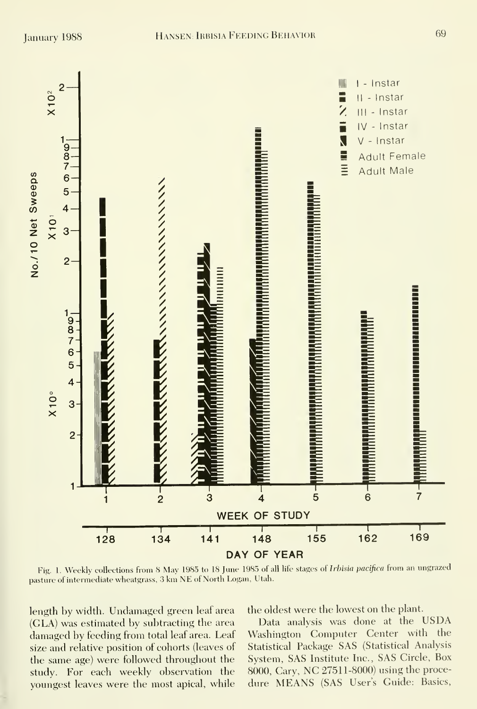

Fig. 1. Weekly collections from 8 May 1985 to 18 June 1985 of all life stages of Irbisia pacifica from an ungrazed pasture of intermediate wheatgrass, 3 km NE of North Logan, Utah.

length by width. Undamaged green leaf area (GLA) was estimated by subtracting the area damaged by feeding from total leaf area. Leaf size and relative position of cohorts (leaves of the same age) were followed throughout the study. For each weekly observation the youngest leaves were the most apical, while the oldest were the lowest on the plant.

Data analysis was done at the USDA Washington Computer Center with the Statistical Package SAS (Statistical Analysis System, SAS Institute Inc., SAS Circle, Box 8000, Cary, NC 27511-8000) using the procedure MEANS (SAS User's Guide: Basics,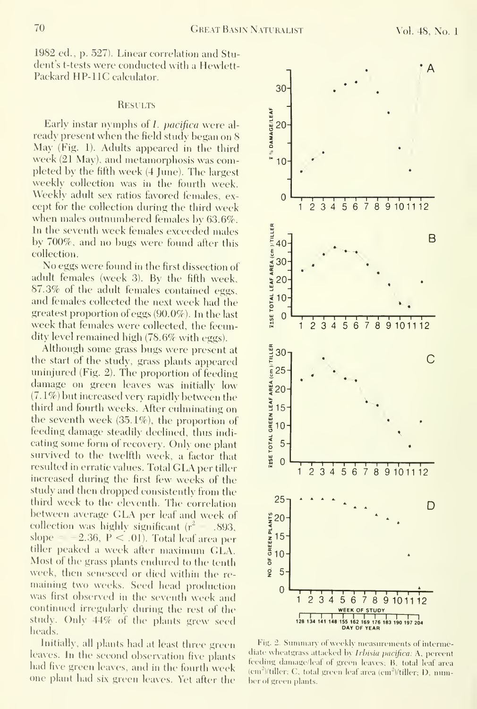1982 ed., p. 527). Linear correlation and Student's t-tests were conducted with a Hewlett-Packard HP-llC calculator.

#### **RESULTS**

Early instar nymphs of *I. pacifica* were already present when the field study began on 8 May (Fig. 1). Adults appeared in the third week (21 May), and metamorphosis was completed by the fifth week (4 June). The largest weekly collection was in the fourth week. Weekly adult sex ratios favored females, except for the collection during the third week when males outnumbered females by 63.6%. In the seventh week females exceeded males by 700%, and no bugs were found after this collection.

No eggs were found in the first dissection of adult females (week 3). By the fifth week, 87.3% of the adult females contained eggs, and females collected the next week had the greatest proportion of eggs (90.0%). In the last week that females were collected, the fecundity level remained high (78.6% with eggs).

Although some grass bugs were present at the start of the study, grass plants appeared uninjured (Fig. 2). The proportion of feeding damage on green leaves was initially low  $(7.1\%)$  but increased very rapidly between the third and fourth weeks. After culminating on the seventh week (35.1%), the proportion of feeding damage steadily declined, thus indi cating some form of recovery. Only one plant survived to the twelfth week, a factor that resulted in erratic values. Total GLA per tiller increased during the first few weeks of the study and then dropped consistently from the third week to the eleventh. The correlation between average GLA per leaf and week of collection was highly significant  $(r^2 - .893)$ , slope  $= -2.36$ , P < .01). Total leaf area per tiller peaked <sup>a</sup> week after maximum GLA. Most of the grass plants endured to the tenth week, then senesced or died within the re maining two weeks. Seed head production was first observed in the seventh week and  $\qquad$ continued irregularly during the rest of the the study. Only 44% of the plants grew seed heads.

Initially, all plants had at least three green leaves. In the second observation five plants  $\frac{8}{6}$ had five green leaves, and in the fourth week one plant had six green leaves. Yet after the



Fig. 2. Summary of weekly measurements of intermediate wheatgrass attacked by Irbisia pacifica: A, percent feeding damage/leaf of green leaves; B. total leaf area (cm<sup>2</sup>)/tiller; C, total green leaf area (cm<sup>2</sup>)/tiller; D, numher of green plants.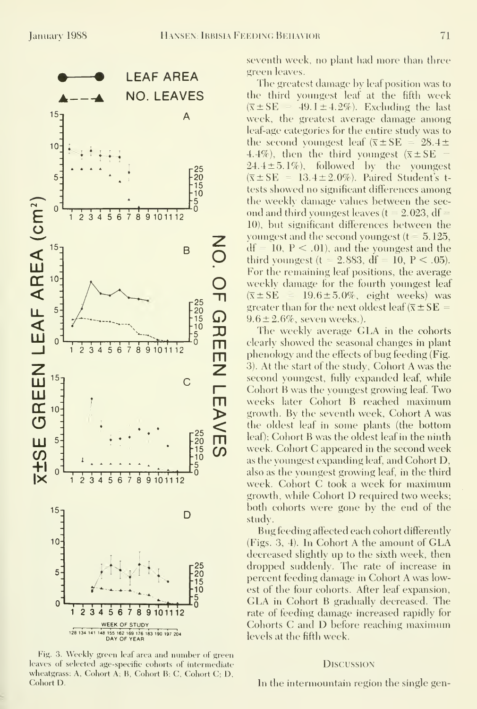

Fig. 3. Weekly green leaf area and number of green leaves of selected age-specific cohorts of intermediate wheatgrass: A, Cohort A; B, Cohort B; C, Cohort C; D, Cohort D.

seventh week, no plant had more than three green leaves.

The greatest damage by leaf position was to the third youngest leaf at the fifth week  $(\bar{x} \pm S E = 49.1 \pm 4.2\%)$ . Excluding the last week, the greatest average damage among leaf-age categories for the entire study was to the second youngest leaf  $(\bar{x} \pm S E = 28.4 \pm$ 4.4%), then the third youngest  $(\bar{x} \pm SE$  - $24.4 \pm 5.1\%$ ), followed by the youngest  $(\overline{x} \pm S E = 13.4 \pm 2.0\%)$ . Paired Student's ttests showed no significant differences among the weekly damage values between the second and third youngest leaves ( $t = 2.023$ , df = 10), but significant differences between the youngest and the second voungest ( $t = 5.125$ ,  $df = 10, P < .01$ , and the youngest and the third youngest ( $t = 2.883$ ,  $df = 10$ ,  $P < .05$ ). For the remaining leaf positions, the average weekly damage for the fourth youngest leaf  $(\overline{x} \pm S E) = 19.6 \pm 5.0\%$ , eight weeks) was greater than for the next oldest leaf ( $\overline{x} \pm S E$  =  $9.6 \pm 2.6\%$ , seven weeks.).

The weekly average GLA in the cohorts clearly showed the seasonal changes in plant phenology and the effects of bug feeding (Fig. 3). At the start of the study, Cohort A was the second youngest, fully expanded leaf, while Cohort B was the voungest growing leaf. Two weeks later Cohort B reached maximum growth. By the seventh week, Cohort A was the oldest leaf in some plants (the bottom leaf); Cohort B was the oldest leaf in the ninth week. Cohort C appeared in the second week as the youngest expanding leaf, and Cohort D, also as the youngest growing leaf, in the third week. Cohort C took a week for maximum growth, while Cohort D required two weeks; both cohorts were gone by the end of the study.

Bug feeding affected each cohort differently (Figs. 3, 4). In Cohort A the amount of GLA decreased slightly up to the sixth week, then dropped suddenly. The rate of increase in percent feeding damage in Cohort A was lowest of the four cohorts. After leaf expansion, GLA in Cohort B gradually decreased. The rate of feeding damage increased rapidly for Cohorts C and D before reaching maximum levels at the fifth week.

#### **DISCUSSION**

In the intermountain region the single gen-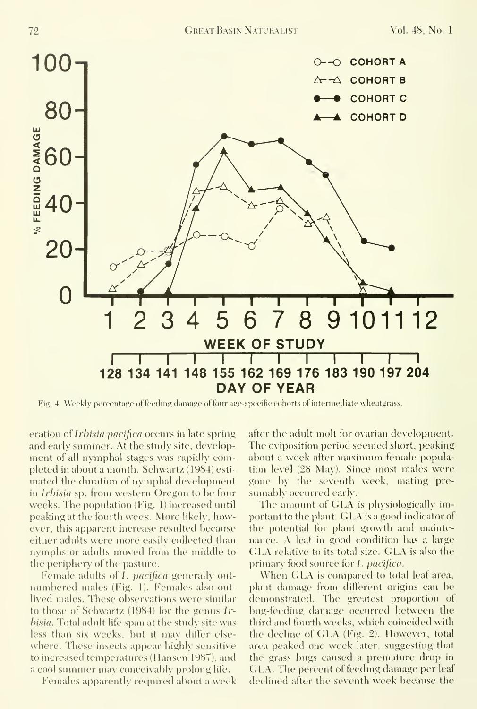

Fig. 4. Weekly percentage of feeding damage of four age-specific cohorts of intermediate wheatgrass.

eration of *Irbisia pacifica* occurs in late spring and early summer. At the study site, development of all nymphal stages was rapidly completed in about a month. Schwartz (1984) esti mated the duration of nymphal development in Irbisia sp. from western Oregon to be four weeks. The population (Fig. 1) increased until peaking at the fourth week. More likely, however, this apparent increase resulted because either adults were more easily collected than nymphs or adults moved from the middle to the periphery of the pasture.

Female adults of *I. pacifica* generally outmmibered males (Fig. I). Females also outlived males. These observations were similar to those of Schwartz (1984) for the genus Irhisia. Total adult life span at the study site was less than six weeks, but it may differ else where. These insects appear highly sensitive to increased temperatures (Hansen 1987), and a cool summer may conceivably prolong life.

Females apparently required about a week

after the adult molt for ovarian development. The oviposition period seemed short, peaking about a week after maximinn female population level (28 May). Since most males were gone by the seventh week, mating pre sumably occiured early.

The amount of GLA is physiologically important to the plant. GLA is <sup>a</sup> good indicator of the potential for plant growth and maintenance. A leaf in good condition has a large GLA relative to its total size. GLA is also the primary food source for *L. pacifica.* 

When GLA is compared to total leaf area, plant damage from different origins can be demonstrated. The greatest proportion of bug-feeding damage occurred between the third and fourth weeks, which coincided with the decline of GLA (Fig. 2). However, total area peaked one week later, suggesting that the grass bugs caused a premature drop in GLA. The percent of feeding damage per leaf declined after the seventh week because the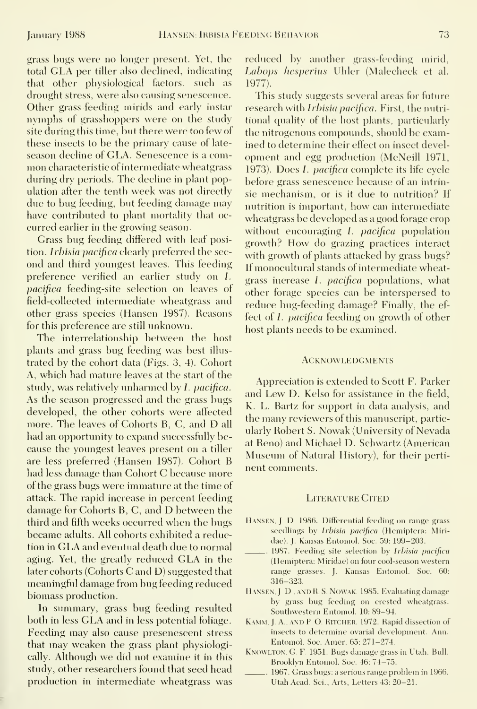grass bugs were no longer present. Yet, the total GLA per tiller also deelined, indieating that other physiologieal factors, such as drought stress, were also causing senescence. Other grass-feeding mirids and early instar nymphs of grasshoppers were on the study site during this time, but there were too few of these insects to be the primary cause of late season decline of GLA. Senescence is a common characteristic of intermediate wheatgrass during dry periods. The decline in plant population after the tenth week was not directly due to bug feeding, but feeding damage may have contributed to plant mortality that oc curred earlier in the growing season.

Grass bug feeding differed with leaf position. Irbisia pacifica clearly preferred the second and third youngest leaves. This feeding preference verified an earlier study on 1. pacifica feeding-site selection on leaves of field-collected intermediate wheatgrass and other grass species (Hansen 1987). Reasons for this preference are still unknown.

The interrelationship between the host plants and grass bug feeding was best illus trated by the cohort data (Figs. 3, 4). Cohort A, which had mature leaves at the start of the study, was relatively unharmed by *I. pacifica.* As the season progressed and the grass bugs developed, the other cohorts were affected more. The leaves of Cohorts B, C, and D all had an opportunity to expand successfully because the youngest leaves present on a tiller are less preferred (Hansen 1987). Cohort B had less damage than Cohort C because more of the grass bugs were immature at the time of attack. The rapid increase in percent feeding damage for Cohorts B, C, and D between the third and fifth weeks occurred when the bugs became adults. All cohorts exhibited a reduction in GLA and eventual death due to normal aging. Yet, the greatly reduced GLA in the later cohorts (Cohorts C and D) suggested that meaningful damage from bug feeding reduced biomass production.

In summary, grass bug feeding resulted both in less GLA and in less potential foliage. Feeding may also cause presenescent stress that may weaken the grass plant physiologically. Although we did not examine it in this study, other researchers found that seed head production in intermediate wheatgrass was

reduced by another grass-feeding mirid, Labops hesperius Uhler (Malecheck et al. 1977).

This study suggests several areas for future research with *Irbisia pacifica*. First, the nutritional quality of the host plants, particularly the nitrogenous compounds, should be examined to determine their effect on insect development and egg production (McNeill 1971, 1973). Does *I. pacifica* complete its life cycle before grass senescence because of an intrinsic mechanism, or is it due to nutrition? If nutrition is important, how can intermediate wheatgrass be developed as a good forage crop without encouraging  $I$ . *pacifica* population growth? How do grazing practices interact with growth of plants attacked by grass bugs? If monocultural stands of intermediate wheatgrass increase *I. pacifica* populations, what other forage species can be interspersed to reduce bug-feeding damage? Finally, the ef fect of *I. pacifica* feeding on growth of other host plants needs to be examined.

#### **ACKNOWLEDGMENTS**

Appreciation is extended to Scott F. Parker and Lew D. Kelso for assistance in the field, K. L. Bartz for support in data analysis, and the many reviewers of this manuscript, particularly Robert S. Nowak (University of Nevada at Reno) and Michael D. Schwartz (American Museum of Natural History), for their perti nent comments.

#### LITERATURE CITED

- HANSEN. J. D. 1986. Differential feeding on range grass seedlings by Irbisia pacifica (Hemiptera: Miridae). J. Kansas Entomol. Soc. 59; 199-203.
- 1987. Feeding site selection by Irbisia pacifica (Hemiptera: Miridae) on four cool-season western range grasses. J. Kansas Entomol. Soc. 60: 316-323.
- HANSEN, J. D., AND R. S. NOWAK. 1985. Evaluating damage by grass bug feeding on crested wheatgrass. Southwestern Entomol. 10: 89-94.
- KAMM. J. A., AND P. O. RITCHER. 1972. Rapid dissection of insects to determine ovarial development. Ann. Entomol. Soc. Amer. 65: 271-274.
- KNOWLTON, G. F. 1951. Bugs damage grass in Utah. Bull. Brooklyn Entomol. Soc. 46: 74-75.
- 1967. Grass bugs: a serious range problem in 1966. Utah Acad. Sci., Arts, Letters 43: 20-21.